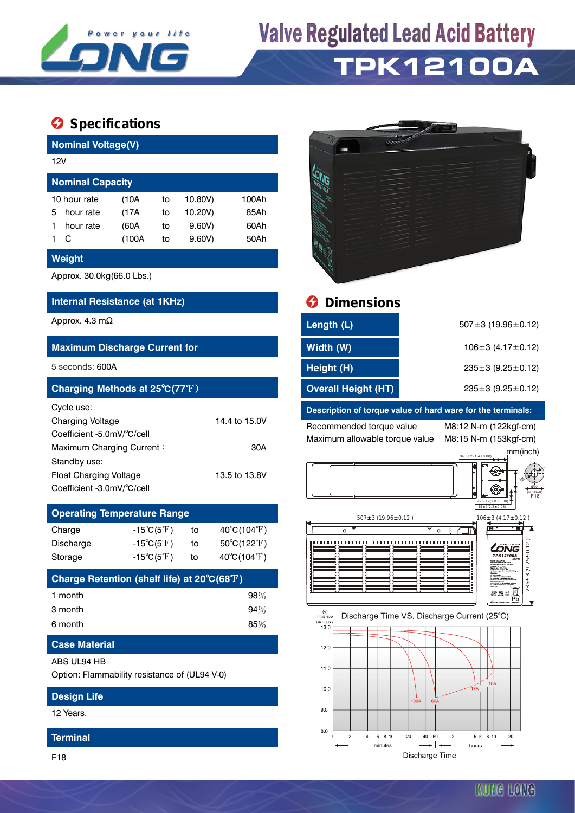

# **Valve Regulated Lead Acid Battery TPK12100A**

## $\bullet$  Specifications

| <b>Nominal Voltage(V)</b> |                         |       |    |         |       |  |  |  |  |
|---------------------------|-------------------------|-------|----|---------|-------|--|--|--|--|
|                           | 12V                     |       |    |         |       |  |  |  |  |
|                           | <b>Nominal Capacity</b> |       |    |         |       |  |  |  |  |
|                           | 10 hour rate            | (10A  | to | 10.80V) | 100Ah |  |  |  |  |
| 5                         | hour rate               | (17A  | to | 10.20V) | 85Ah  |  |  |  |  |
|                           | hour rate               | (60A  | to | 9.60V   | 60Ah  |  |  |  |  |
|                           | С                       | (100A | to | 9.60V   | 50Ah  |  |  |  |  |

### **Weight**

Approx. 30.0kg(66.0 Lbs.)

### **Internal Resistance (at 1KHz) Dimensions**

| <b>Maximum Discharge Current for</b> |  |  |  |  |  |  |  |
|--------------------------------------|--|--|--|--|--|--|--|
|                                      |  |  |  |  |  |  |  |
|                                      |  |  |  |  |  |  |  |
|                                      |  |  |  |  |  |  |  |
| 14.4 to 15.0V                        |  |  |  |  |  |  |  |
|                                      |  |  |  |  |  |  |  |
| 30A                                  |  |  |  |  |  |  |  |
|                                      |  |  |  |  |  |  |  |
| 13.5 to 13.8V                        |  |  |  |  |  |  |  |
|                                      |  |  |  |  |  |  |  |

## **Operating Temperature Range**

Coefficient -3.0mV/℃/cell

| Charge    | $-15^{\circ}C(5^{\circ}F)$ | to | $40^{\circ}$ C(104 $^{\circ}$ F) |
|-----------|----------------------------|----|----------------------------------|
| Discharge | $-15^{\circ}C(5^{\circ}F)$ | to | $50^{\circ}$ C(122 $^{\circ}$ F) |
| Storage   | $-15^{\circ}C(5^{\circ}F)$ | to | $40^{\circ}$ C(104 $^{\circ}$ F) |

| Charge Retention (shelf life) at 20°C(68°F) |     |
|---------------------------------------------|-----|
| 1 month                                     | 98% |
| 3 month                                     | 94% |
| 6 month                                     | 85% |

### **Case Material**

### ABS UL94 HB

Option: Flammability resistance of (UL94 V-0)

### **Design Life**

12 Years.

### **Terminal**



| Approx. 4.3 mΩ                       | Length (L)                 | $507 \pm 3$ (19.96 $\pm$ 0.12) |  |
|--------------------------------------|----------------------------|--------------------------------|--|
| <b>Maximum Discharge Current for</b> | Width (W)                  | $106 \pm 3$ (4.17 $\pm$ 0.12)  |  |
| 5 seconds: 600A                      | Height (H)                 | $235 \pm 3$ (9.25 $\pm$ 0.12)  |  |
| Charging Methods at 25°C(77°F)       | <b>Overall Height (HT)</b> | $235 \pm 3$ (9.25 $\pm$ 0.12)  |  |

### **Description of torque value of hard ware for the terminals:**

Recommended torque value M8:12 N-m (122kgf-cm) Maximum allowable torque value M8:15 N-m (153kgf-cm)



 $507 \pm 3 (19.96 \pm 0.12)$